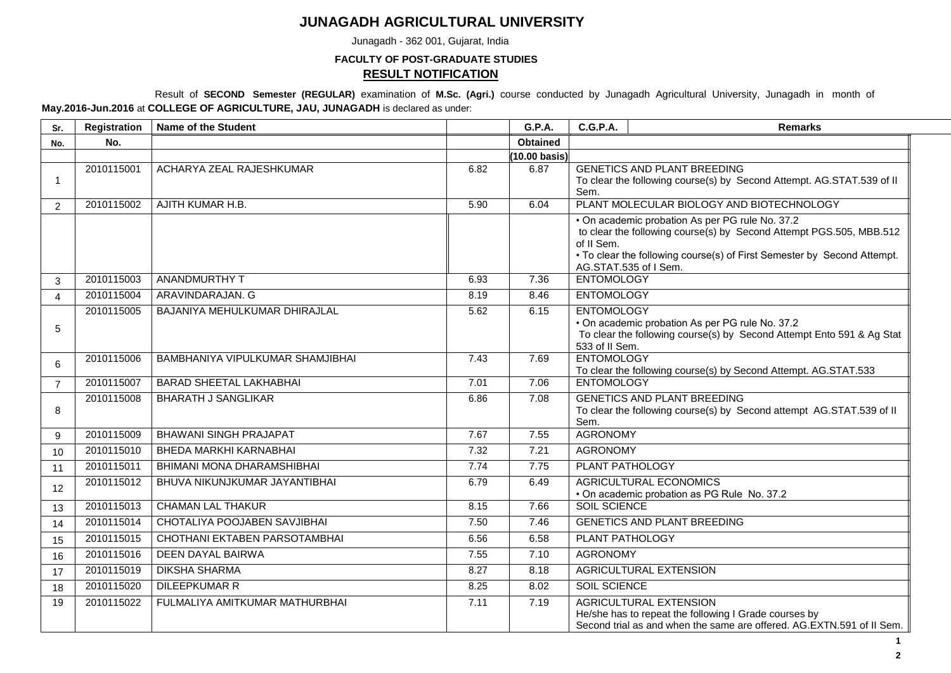## **JUNAGADH AGRICULTURAL UNIVERSITY**

Junagadh - 362 001, Gujarat, India

**FACULTY OF POST-GRADUATE STUDIES**

## **RESULT NOTIFICATION**

Result of **SECOND Semester (REGULAR)** examination of **M.Sc. (Agri.)** course conducted by Junagadh Agricultural University, Junagadh in month of **May.2016-Jun.2016** at **COLLEGE OF AGRICULTURE, JAU, JUNAGADH** is declared as under:

| Sr.            | Registration | <b>Name of the Student</b>       |      | <b>G.P.A.</b>           | <b>C.G.P.A.</b>                     | <b>Remarks</b>                                                                                                                                                                                                             |
|----------------|--------------|----------------------------------|------|-------------------------|-------------------------------------|----------------------------------------------------------------------------------------------------------------------------------------------------------------------------------------------------------------------------|
| No.            | No.          |                                  |      | <b>Obtained</b>         |                                     |                                                                                                                                                                                                                            |
|                |              |                                  |      | $(10.00 \text{ basis})$ |                                     |                                                                                                                                                                                                                            |
| -1             | 2010115001   | ACHARYA ZEAL RAJESHKUMAR         | 6.82 | 6.87                    | Sem.                                | <b>GENETICS AND PLANT BREEDING</b><br>To clear the following course(s) by Second Attempt. AG.STAT.539 of II                                                                                                                |
| 2              | 2010115002   | AJITH KUMAR H.B.                 | 5.90 | 6.04                    |                                     | PLANT MOLECULAR BIOLOGY AND BIOTECHNOLOGY                                                                                                                                                                                  |
|                |              |                                  |      |                         | of II Sem.                          | . On academic probation As per PG rule No. 37.2<br>to clear the following course(s) by Second Attempt PGS.505, MBB.512<br>• To clear the following course(s) of First Semester by Second Attempt.<br>AG.STAT.535 of I Sem. |
| 3              | 2010115003   | <b>ANANDMURTHY T</b>             | 6.93 | 7.36                    | <b>ENTOMOLOGY</b>                   |                                                                                                                                                                                                                            |
| $\overline{4}$ | 2010115004   | ARAVINDARAJAN. G                 | 8.19 | 8.46                    | <b>ENTOMOLOGY</b>                   |                                                                                                                                                                                                                            |
| 5              | 2010115005   | BAJANIYA MEHULKUMAR DHIRAJLAL    | 5.62 | 6.15                    | <b>ENTOMOLOGY</b><br>533 of II Sem. | • On academic probation As per PG rule No. 37.2<br>To clear the following course(s) by Second Attempt Ento 591 & Ag Stat                                                                                                   |
| 6              | 2010115006   | BAMBHANIYA VIPULKUMAR SHAMJIBHAI | 7.43 | 7.69                    | <b>ENTOMOLOGY</b>                   | To clear the following course(s) by Second Attempt. AG.STAT.533                                                                                                                                                            |
| $\overline{7}$ | 2010115007   | <b>BARAD SHEETAL LAKHABHAI</b>   | 7.01 | 7.06                    | <b>ENTOMOLOGY</b>                   |                                                                                                                                                                                                                            |
| 8              | 2010115008   | <b>BHARATH J SANGLIKAR</b>       | 6.86 | 7.08                    | Sem.                                | <b>GENETICS AND PLANT BREEDING</b><br>To clear the following course(s) by Second attempt AG.STAT.539 of II                                                                                                                 |
| 9              | 2010115009   | <b>BHAWANI SINGH PRAJAPAT</b>    | 7.67 | 7.55                    | <b>AGRONOMY</b>                     |                                                                                                                                                                                                                            |
| 10             | 2010115010   | BHEDA MARKHI KARNABHAI           | 7.32 | 7.21                    | <b>AGRONOMY</b>                     |                                                                                                                                                                                                                            |
| 11             | 2010115011   | BHIMANI MONA DHARAMSHIBHAI       | 7.74 | 7.75                    | <b>PLANT PATHOLOGY</b>              |                                                                                                                                                                                                                            |
| 12             | 2010115012   | BHUVA NIKUNJKUMAR JAYANTIBHAI    | 6.79 | 6.49                    |                                     | AGRICULTURAL ECONOMICS<br>• On academic probation as PG Rule No. 37.2                                                                                                                                                      |
| 13             | 2010115013   | <b>CHAMAN LAL THAKUR</b>         | 8.15 | 7.66                    | <b>SOIL SCIENCE</b>                 |                                                                                                                                                                                                                            |
| 14             | 2010115014   | CHOTALIYA POOJABEN SAVJIBHAI     | 7.50 | 7.46                    |                                     | <b>GENETICS AND PLANT BREEDING</b>                                                                                                                                                                                         |
| 15             | 2010115015   | CHOTHANI EKTABEN PARSOTAMBHAI    | 6.56 | 6.58                    | PLANT PATHOLOGY                     |                                                                                                                                                                                                                            |
| 16             | 2010115016   | <b>DEEN DAYAL BAIRWA</b>         | 7.55 | 7.10                    | <b>AGRONOMY</b>                     |                                                                                                                                                                                                                            |
| 17             | 2010115019   | <b>DIKSHA SHARMA</b>             | 8.27 | 8.18                    |                                     | AGRICULTURAL EXTENSION                                                                                                                                                                                                     |
| 18             | 2010115020   | <b>DILEEPKUMAR R</b>             | 8.25 | 8.02                    | <b>SOIL SCIENCE</b>                 |                                                                                                                                                                                                                            |
| 19             | 2010115022   | FULMALIYA AMITKUMAR MATHURBHAI   | 7.11 | 7.19                    |                                     | AGRICULTURAL EXTENSION<br>He/she has to repeat the following I Grade courses by<br>Second trial as and when the same are offered. AG.EXTN.591 of II Sem.                                                                   |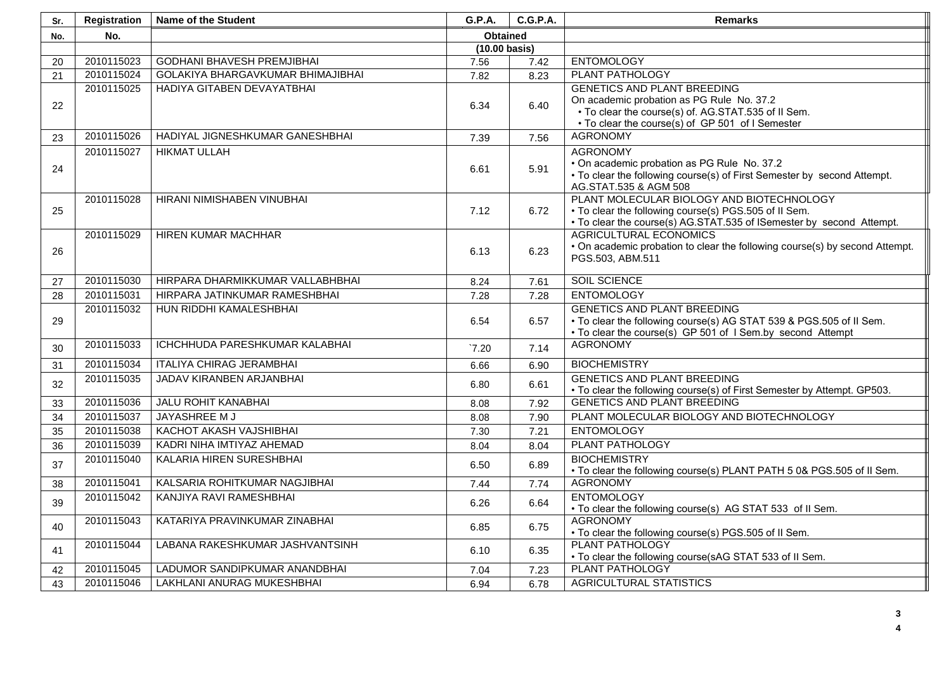| Sr. | <b>Registration</b> | <b>Name of the Student</b>        | <b>G.P.A.</b>   | <b>C.G.P.A.</b> | <b>Remarks</b>                                                                                                |
|-----|---------------------|-----------------------------------|-----------------|-----------------|---------------------------------------------------------------------------------------------------------------|
| No. | No.                 |                                   | <b>Obtained</b> |                 |                                                                                                               |
|     |                     |                                   | (10.00 basis)   |                 |                                                                                                               |
| 20  | 2010115023          | <b>GODHANI BHAVESH PREMJIBHAI</b> | 7.56            | 7.42            | <b>ENTOMOLOGY</b>                                                                                             |
| 21  | 2010115024          | GOLAKIYA BHARGAVKUMAR BHIMAJIBHAI | 7.82            | 8.23            | PLANT PATHOLOGY                                                                                               |
|     | 2010115025          | HADIYA GITABEN DEVAYATBHAI        |                 |                 | <b>GENETICS AND PLANT BREEDING</b>                                                                            |
| 22  |                     |                                   | 6.34            | 6.40            | On academic probation as PG Rule No. 37.2                                                                     |
|     |                     |                                   |                 |                 | • To clear the course(s) of. AG.STAT.535 of II Sem.                                                           |
|     |                     |                                   |                 |                 | • To clear the course(s) of GP 501 of I Semester                                                              |
| 23  | 2010115026          | HADIYAL JIGNESHKUMAR GANESHBHAI   | 7.39            | 7.56            | <b>AGRONOMY</b>                                                                                               |
|     | 2010115027          | <b>HIKMAT ULLAH</b>               |                 |                 | <b>AGRONOMY</b>                                                                                               |
| 24  |                     |                                   | 6.61            | 5.91            | • On academic probation as PG Rule No. 37.2                                                                   |
|     |                     |                                   |                 |                 | • To clear the following course(s) of First Semester by second Attempt.<br>AG.STAT.535 & AGM 508              |
|     | 2010115028          | HIRANI NIMISHABEN VINUBHAI        |                 |                 | PLANT MOLECULAR BIOLOGY AND BIOTECHNOLOGY                                                                     |
| 25  |                     |                                   | 7.12            | 6.72            | • To clear the following course(s) PGS.505 of II Sem.                                                         |
|     |                     |                                   |                 |                 | • To clear the course(s) AG.STAT.535 of ISemester by second Attempt.                                          |
|     | 2010115029          | HIREN KUMAR MACHHAR               |                 |                 | <b>AGRICULTURAL ECONOMICS</b>                                                                                 |
| 26  |                     |                                   | 6.13            | 6.23            | • On academic probation to clear the following course(s) by second Attempt.                                   |
|     |                     |                                   |                 |                 | PGS.503, ABM.511                                                                                              |
|     | 2010115030          | HIRPARA DHARMIKKUMAR VALLABHBHAI  |                 |                 | SOIL SCIENCE                                                                                                  |
| 27  | 2010115031          | HIRPARA JATINKUMAR RAMESHBHAI     | 8.24            | 7.61            | <b>ENTOMOLOGY</b>                                                                                             |
| 28  |                     |                                   | 7.28            | 7.28            |                                                                                                               |
|     | 2010115032          | HUN RIDDHI KAMALESHBHAI           | 6.54            | 6.57            | <b>GENETICS AND PLANT BREEDING</b><br>• To clear the following course(s) AG STAT 539 & PGS.505 of II Sem.     |
| 29  |                     |                                   |                 |                 | • To clear the course(s) GP 501 of I Sem.by second Attempt                                                    |
| 30  | 2010115033          | ICHCHHUDA PARESHKUMAR KALABHAI    | $\degree$ 7.20  | 7.14            | <b>AGRONOMY</b>                                                                                               |
|     |                     |                                   |                 |                 |                                                                                                               |
| 31  | 2010115034          | <b>ITALIYA CHIRAG JERAMBHAI</b>   | 6.66            | 6.90            | <b>BIOCHEMISTRY</b>                                                                                           |
| 32  | 2010115035          | JADAV KIRANBEN ARJANBHAI          | 6.80            | 6.61            | <b>GENETICS AND PLANT BREEDING</b>                                                                            |
|     | 2010115036          | <b>JALU ROHIT KANABHAI</b>        | 8.08            | 7.92            | • To clear the following course(s) of First Semester by Attempt. GP503.<br><b>GENETICS AND PLANT BREEDING</b> |
| 33  | 2010115037          | JAYASHREE M J                     |                 |                 | PLANT MOLECULAR BIOLOGY AND BIOTECHNOLOGY                                                                     |
| 34  |                     |                                   | 8.08            | 7.90            | <b>ENTOMOLOGY</b>                                                                                             |
| 35  | 2010115038          | KACHOT AKASH VAJSHIBHAI           | 7.30            | 7.21            |                                                                                                               |
| 36  | 2010115039          | KADRI NIHA IMTIYAZ AHEMAD         | 8.04            | 8.04            | <b>PLANT PATHOLOGY</b>                                                                                        |
| 37  | 2010115040          | KALARIA HIREN SURESHBHAI          | 6.50            | 6.89            | <b>BIOCHEMISTRY</b><br>• To clear the following course(s) PLANT PATH 5 0& PGS.505 of II Sem.                  |
| 38  | 2010115041          | KALSARIA ROHITKUMAR NAGJIBHAI     | 7.44            | 7.74            | <b>AGRONOMY</b>                                                                                               |
|     | 2010115042          | KANJIYA RAVI RAMESHBHAI           |                 |                 | <b>ENTOMOLOGY</b>                                                                                             |
| 39  |                     |                                   | 6.26            | 6.64            | • To clear the following course(s) AG STAT 533 of II Sem.                                                     |
|     | 2010115043          | KATARIYA PRAVINKUMAR ZINABHAI     |                 |                 | <b>AGRONOMY</b>                                                                                               |
| 40  |                     |                                   | 6.85            | 6.75            | • To clear the following course(s) PGS.505 of II Sem.                                                         |
| 41  | 2010115044          | LABANA RAKESHKUMAR JASHVANTSINH   | 6.10            | 6.35            | <b>PLANT PATHOLOGY</b>                                                                                        |
|     |                     |                                   |                 |                 | • To clear the following course(sAG STAT 533 of II Sem.                                                       |
| 42  | 2010115045          | LADUMOR SANDIPKUMAR ANANDBHAI     | 7.04            | 7.23            | <b>PLANT PATHOLOGY</b>                                                                                        |
| 43  | 2010115046          | LAKHLANI ANURAG MUKESHBHAI        | 6.94            | 6.78            | <b>AGRICULTURAL STATISTICS</b>                                                                                |

**4**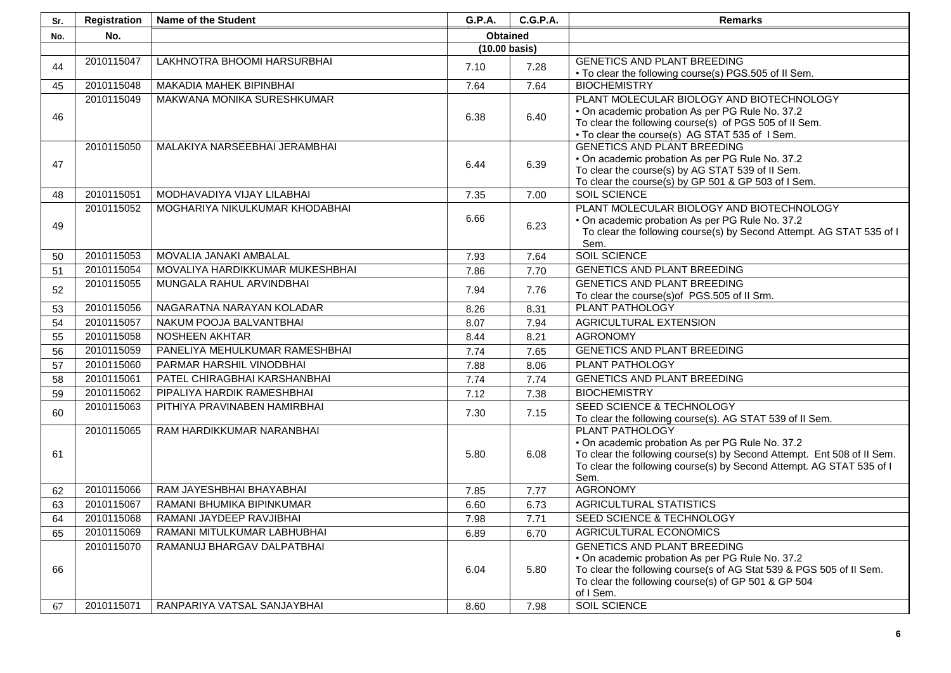| Sr. | Registration | Name of the Student             | G.P.A.                                          | <b>C.G.P.A.</b>                                                                                                                                | <b>Remarks</b>                                                                       |
|-----|--------------|---------------------------------|-------------------------------------------------|------------------------------------------------------------------------------------------------------------------------------------------------|--------------------------------------------------------------------------------------|
| No. | No.          |                                 | <b>Obtained</b>                                 |                                                                                                                                                |                                                                                      |
|     |              |                                 | (10.00 basis)                                   |                                                                                                                                                |                                                                                      |
| 44  | 2010115047   | LAKHNOTRA BHOOMI HARSURBHAI     | 7.10                                            | 7.28                                                                                                                                           | <b>GENETICS AND PLANT BREEDING</b>                                                   |
|     |              |                                 |                                                 |                                                                                                                                                | . To clear the following course(s) PGS.505 of II Sem.                                |
| 45  | 2010115048   | MAKADIA MAHEK BIPINBHAI         | 7.64                                            | 7.64                                                                                                                                           | <b>BIOCHEMISTRY</b>                                                                  |
|     | 2010115049   | MAKWANA MONIKA SURESHKUMAR      |                                                 |                                                                                                                                                | PLANT MOLECULAR BIOLOGY AND BIOTECHNOLOGY                                            |
| 46  |              |                                 | 6.38                                            | 6.40                                                                                                                                           | • On academic probation As per PG Rule No. 37.2                                      |
|     |              |                                 |                                                 |                                                                                                                                                | To clear the following course(s) of PGS 505 of II Sem.                               |
|     | 2010115050   | MALAKIYA NARSEEBHAI JERAMBHAI   |                                                 |                                                                                                                                                | . To clear the course(s) AG STAT 535 of 1 Sem.<br><b>GENETICS AND PLANT BREEDING</b> |
|     |              |                                 |                                                 |                                                                                                                                                | • On academic probation As per PG Rule No. 37.2                                      |
| 47  |              |                                 | 6.44                                            | 6.39                                                                                                                                           | To clear the course(s) by AG STAT 539 of II Sem.                                     |
|     |              |                                 |                                                 |                                                                                                                                                | To clear the course(s) by GP 501 & GP 503 of I Sem.                                  |
| 48  | 2010115051   | MODHAVADIYA VIJAY LILABHAI      | 7.35                                            | 7.00                                                                                                                                           | <b>SOIL SCIENCE</b>                                                                  |
|     | 2010115052   | MOGHARIYA NIKULKUMAR KHODABHAI  |                                                 |                                                                                                                                                | PLANT MOLECULAR BIOLOGY AND BIOTECHNOLOGY                                            |
| 49  |              |                                 | 6.66                                            | 6.23                                                                                                                                           | • On academic probation As per PG Rule No. 37.2                                      |
|     |              |                                 |                                                 |                                                                                                                                                | To clear the following course(s) by Second Attempt. AG STAT 535 of I                 |
|     |              |                                 |                                                 |                                                                                                                                                | Sem.                                                                                 |
| 50  | 2010115053   | MOVALIA JANAKI AMBALAL          | 7.93                                            | 7.64                                                                                                                                           | <b>SOIL SCIENCE</b>                                                                  |
| 51  | 2010115054   | MOVALIYA HARDIKKUMAR MUKESHBHAI | 7.86                                            | 7.70                                                                                                                                           | <b>GENETICS AND PLANT BREEDING</b>                                                   |
| 52  | 2010115055   | MUNGALA RAHUL ARVINDBHAI        | 7.94                                            | 7.76                                                                                                                                           | <b>GENETICS AND PLANT BREEDING</b>                                                   |
|     |              |                                 |                                                 |                                                                                                                                                | To clear the course(s) of PGS.505 of II Srm.                                         |
| 53  | 2010115056   | NAGARATNA NARAYAN KOLADAR       | 8.26                                            | 8.31                                                                                                                                           | <b>PLANT PATHOLOGY</b>                                                               |
| 54  | 2010115057   | NAKUM POOJA BALVANTBHAI         | 8.07                                            | 7.94                                                                                                                                           | <b>AGRICULTURAL EXTENSION</b>                                                        |
| 55  | 2010115058   | NOSHEEN AKHTAR                  | 8.44                                            | 8.21                                                                                                                                           | <b>AGRONOMY</b>                                                                      |
| 56  | 2010115059   | PANELIYA MEHULKUMAR RAMESHBHAI  | 7.74                                            | 7.65                                                                                                                                           | <b>GENETICS AND PLANT BREEDING</b>                                                   |
| 57  | 2010115060   | PARMAR HARSHIL VINODBHAI        | 7.88                                            | 8.06                                                                                                                                           | PLANT PATHOLOGY                                                                      |
| 58  | 2010115061   | PATEL CHIRAGBHAI KARSHANBHAI    | 7.74                                            | 7.74                                                                                                                                           | <b>GENETICS AND PLANT BREEDING</b>                                                   |
| 59  | 2010115062   | PIPALIYA HARDIK RAMESHBHAI      | 7.12                                            | 7.38                                                                                                                                           | <b>BIOCHEMISTRY</b>                                                                  |
| 60  | 2010115063   | PITHIYA PRAVINABEN HAMIRBHAI    | 7.30                                            | 7.15                                                                                                                                           | SEED SCIENCE & TECHNOLOGY                                                            |
|     |              |                                 |                                                 |                                                                                                                                                | To clear the following course(s). AG STAT 539 of II Sem.                             |
|     | 2010115065   | RAM HARDIKKUMAR NARANBHAI       |                                                 |                                                                                                                                                | PLANT PATHOLOGY                                                                      |
|     |              |                                 | • On academic probation As per PG Rule No. 37.2 |                                                                                                                                                |                                                                                      |
| 61  |              | 5.80                            | 6.08                                            | To clear the following course(s) by Second Attempt. Ent 508 of II Sem.<br>To clear the following course(s) by Second Attempt. AG STAT 535 of I |                                                                                      |
|     |              |                                 |                                                 |                                                                                                                                                | Sem.                                                                                 |
| 62  | 2010115066   | RAM JAYESHBHAI BHAYABHAI        | 7.85                                            | 7.77                                                                                                                                           | <b>AGRONOMY</b>                                                                      |
| 63  | 2010115067   | RAMANI BHUMIKA BIPINKUMAR       | 6.60                                            | 6.73                                                                                                                                           | <b>AGRICULTURAL STATISTICS</b>                                                       |
| 64  | 2010115068   | RAMANI JAYDEEP RAVJIBHAI        | 7.98                                            | 7.71                                                                                                                                           | SEED SCIENCE & TECHNOLOGY                                                            |
| 65  | 2010115069   | RAMANI MITULKUMAR LABHUBHAI     | 6.89                                            | 6.70                                                                                                                                           | AGRICULTURAL ECONOMICS                                                               |
|     | 2010115070   | RAMANUJ BHARGAV DALPATBHAI      |                                                 |                                                                                                                                                | GENETICS AND PLANT BREEDING                                                          |
|     |              |                                 |                                                 |                                                                                                                                                | • On academic probation As per PG Rule No. 37.2                                      |
| 66  |              |                                 | 6.04                                            | 5.80                                                                                                                                           | To clear the following course(s of AG Stat 539 & PGS 505 of II Sem.                  |
|     |              |                                 |                                                 |                                                                                                                                                | To clear the following course(s) of GP 501 & GP 504                                  |
|     |              |                                 |                                                 |                                                                                                                                                | of I Sem.                                                                            |
| 67  | 2010115071   | RANPARIYA VATSAL SANJAYBHAI     | 8.60                                            | 7.98                                                                                                                                           | <b>SOIL SCIENCE</b>                                                                  |